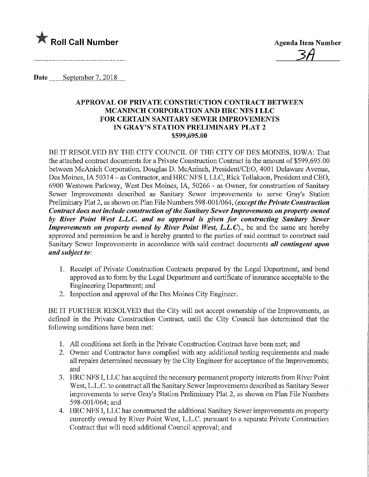

Date September 7, 2018

## APPROVAL OF PRIVATE CONSTRUCTION CONTRACT BETWEEN MCANINCH CORPORATION AND HRC NFS I LLC FOR CERTAIN SANITARY SEWER IMPROVEMENTS IN GRAY'S STATION PRELIMINARY PLAT 2 \$599,695.00

BE IT RESOLVED BY THE CITY COUNCIL OF THE CITY OF DES MOINES, IOWA: That the attached contract documents for a Private Construction Contract in the amount of \$599,695.00 between McAnich Corporation, Douglas D. McAninch, President/CEO, 4001 Delaware Avenue, Des Moines, IA 50314 - as Contractor, and HRC NFS I, LLC, Rick Tollakson, President and CEO, 6900 Westown Parkway, West Des Moines, IA, 50266 - as Owner, for construction of Sanitary Sewer Improvements described as Sanitary Sewer improvements to serve Gray's Station Preliminary Plat 2, as shown on Plan File Numbers 598-001/064, (except the Private Construction Contract does not include construction of the Sanitary Sewer Improvements on property owned by River Point West L.L.C. and no approval is given for constructing Sanitary Sewer Improvements on property owned by River Point West,  $L.L.C$ )., be and the same are hereby approved and permission be and is hereby granted to the parties of said contract to construct said Sanitary Sewer Improvements in accordance with said contract documents all contingent upon and subject to:

- 1. Receipt of Private Construction Contracts prepared by the Legal Department, and bond approved as to form by the Legal Department and certificate of insurance acceptable to the Engineering Department; and
- 2. Inspection and approval of the Des Moines City Engineer.

BE IT FURTHER RESOLVED that the City will not accept ownership of the Improvements, as defined in the Private Construction Contract, until the City Council has determined that the following conditions have been met:

- 1. All conditions set forth m the Private Construction Contract have been met; and
- 2. Owner and Contractor have complied with any additional testing requirements and made all repairs determined necessary by the City Engineer for acceptance of the Improvements; and
- 3. HRC NFS I, LLC has acquired the necessary permanent property interests from River Point West, L.L.C. to construct all the Sanitary Sewer Improvements described as Sanitary Sewer improvements to serve Gray's Station Preliminary Plat 2, as shown on Plan File Numbers 598-001/064; and
- 4. HRC NFS I, LLC has constructed the additional Sanitary Sewer improvements on property currently owned by River Point West, L.L.C. pursuant to a separate Private Construction Contract that will need additional Council approval; and